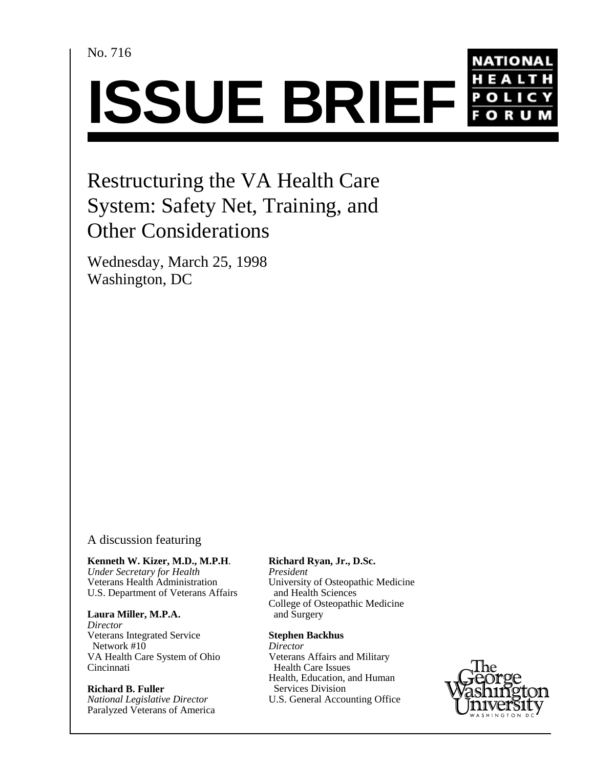No. 716



# Restructuring the VA Health Care System: Safety Net, Training, and Other Considerations

Wednesday, March 25, 1998 Washington, DC

## A discussion featuring

**Kenneth W. Kizer, M.D., M.P.H**. *Under Secretary for Health President* U.S. Department of Veterans Affairs

#### Laura Miller, M.P.A. and Surgery

*Director* Veterans Integrated Service **Stephen Backhus** Network #10<br>VA Health Care System of Ohio *Director*<br>VA Health Care System of Ohio *Veterans Affairs and Military* VA Health Care System of Ohio<br>Cincinnati

# **Richard B. Fuller** Services Division<br> *National Legislative Director* U.S. General Accou Paralyzed Veterans of America

### **Richard Ryan, Jr., D.Sc.**

University of Osteopathic Medicine<br>and Health Sciences College of Osteopathic Medicine

Health Care Issues U.S. General Accounting Office Health, Education, and Human

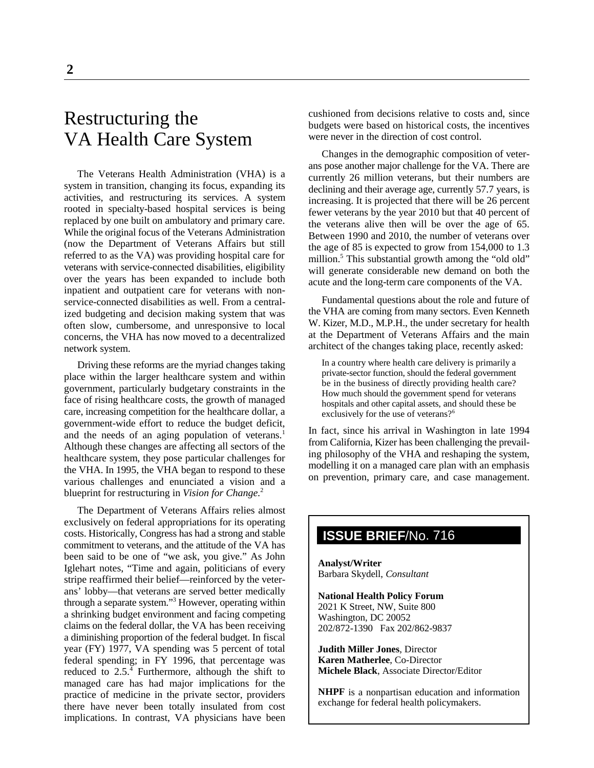# Restructuring the VA Health Care System

The Veterans Health Administration (VHA) is a system in transition, changing its focus, expanding its activities, and restructuring its services. A system rooted in specialty-based hospital services is being replaced by one built on ambulatory and primary care. While the original focus of the Veterans Administration (now the Department of Veterans Affairs but still referred to as the VA) was providing hospital care for veterans with service-connected disabilities, eligibility over the years has been expanded to include both inpatient and outpatient care for veterans with nonservice-connected disabilities as well. From a centralized budgeting and decision making system that was often slow, cumbersome, and unresponsive to local concerns, the VHA has now moved to a decentralized network system.

Driving these reforms are the myriad changes taking place within the larger healthcare system and within government, particularly budgetary constraints in the face of rising healthcare costs, the growth of managed care, increasing competition for the healthcare dollar, a government-wide effort to reduce the budget deficit, and the needs of an aging population of veterans.<sup>1</sup> Although these changes are affecting all sectors of the healthcare system, they pose particular challenges for the VHA. In 1995, the VHA began to respond to these various challenges and enunciated a vision and a blueprint for restructuring in *Vision for Change.*<sup>2</sup>

The Department of Veterans Affairs relies almost exclusively on federal appropriations for its operating costs. Historically, Congress has had a strong and stable commitment to veterans, and the attitude of the VA has been said to be one of "we ask, you give." As John Iglehart notes, "Time and again, politicians of every stripe reaffirmed their belief—reinforced by the veterans' lobby—that veterans are served better medically through a separate system."<sup>3</sup> However, operating within a shrinking budget environment and facing competing claims on the federal dollar, the VA has been receiving a diminishing proportion of the federal budget. In fiscal year (FY) 1977, VA spending was 5 percent of total federal spending; in FY 1996, that percentage was reduced to  $2.5^{\frac{7}{4}}$  Furthermore, although the shift to managed care has had major implications for the practice of medicine in the private sector, providers there have never been totally insulated from cost implications. In contrast, VA physicians have been

cushioned from decisions relative to costs and, since budgets were based on historical costs, the incentives were never in the direction of cost control.

Changes in the demographic composition of veterans pose another major challenge for the VA. There are currently 26 million veterans, but their numbers are declining and their average age, currently 57.7 years, is increasing. It is projected that there will be 26 percent fewer veterans by the year 2010 but that 40 percent of the veterans alive then will be over the age of 65. Between 1990 and 2010, the number of veterans over the age of 85 is expected to grow from 154,000 to 1.3 million.<sup>5</sup> This substantial growth among the "old old" will generate considerable new demand on both the acute and the long-term care components of the VA.

Fundamental questions about the role and future of the VHA are coming from many sectors. Even Kenneth W. Kizer, M.D., M.P.H., the under secretary for health at the Department of Veterans Affairs and the main architect of the changes taking place, recently asked:

In a country where health care delivery is primarily a private-sector function, should the federal government be in the business of directly providing health care? How much should the government spend for veterans hospitals and other capital assets, and should these be exclusively for the use of veterans?<sup>6</sup>

In fact, since his arrival in Washington in late 1994 from California, Kizer has been challenging the prevailing philosophy of the VHA and reshaping the system, modelling it on a managed care plan with an emphasis on prevention, primary care, and case management.

# **ISSUE BRIEF**/No. 716

**Analyst/Writer** Barbara Skydell, *Consultant*

**National Health Policy Forum** 2021 K Street, NW, Suite 800 Washington, DC 20052 202/872-1390 Fax 202/862-9837

**Judith Miller Jones**, Director **Karen Matherlee**, Co-Director **Michele Black**, Associate Director/Editor

**NHPF** is a nonpartisan education and information exchange for federal health policymakers.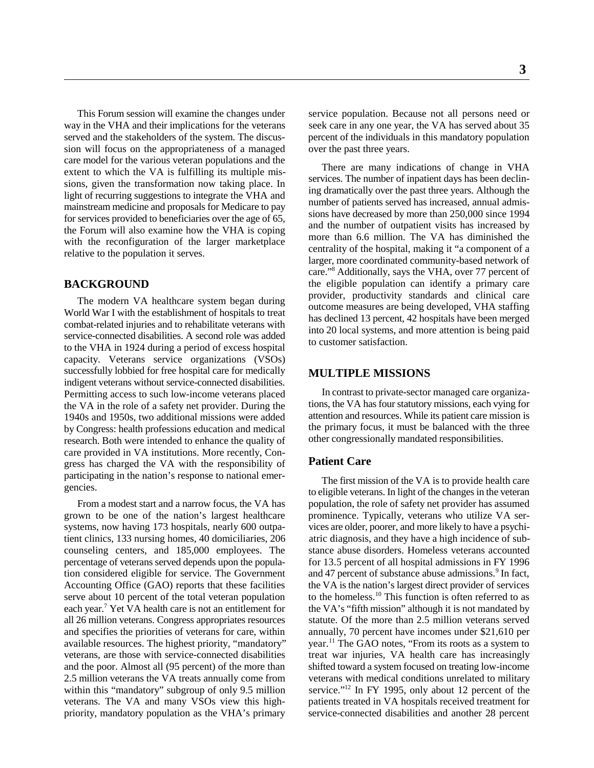way in the VHA and their implications for the veterans seek care in any one year, the VA has served about 35 served and the stakeholders of the system. The discus- percent of the individuals in this mandatory population sion will focus on the appropriateness of a managed over the past three years. care model for the various veteran populations and the extent to which the VA is fulfilling its multiple missions, given the transformation now taking place. In light of recurring suggestions to integrate the VHA and mainstream medicine and proposals for Medicare to pay for services provided to beneficiaries over the age of 65, the Forum will also examine how the VHA is coping with the reconfiguration of the larger marketplace relative to the population it serves.

#### **BACKGROUND**

The modern VA healthcare system began during World War I with the establishment of hospitals to treat combat-related injuries and to rehabilitate veterans with service-connected disabilities. A second role was added to the VHA in 1924 during a period of excess hospital capacity. Veterans service organizations (VSOs) successfully lobbied for free hospital care for medically indigent veterans without service-connected disabilities. Permitting access to such low-income veterans placed the VA in the role of a safety net provider. During the 1940s and 1950s, two additional missions were added by Congress: health professions education and medical research. Both were intended to enhance the quality of care provided in VA institutions. More recently, Congress has charged the VA with the responsibility of participating in the nation's response to national emergencies.

From a modest start and a narrow focus, the VA has grown to be one of the nation's largest healthcare prominence. Typically, veterans who utilize VA sertion considered eligible for service. The Government serve about 10 percent of the total veteran population to the homeless.<sup>10</sup> This function is often referred to as available resources. The highest priority, "mandatory" year.<sup>11</sup> The GAO notes, "From its roots as a system to

This Forum session will examine the changes under service population. Because not all persons need or

There are many indications of change in VHA services. The number of inpatient days has been declining dramatically over the past three years. Although the number of patients served has increased, annual admissions have decreased by more than 250,000 since 1994 and the number of outpatient visits has increased by more than 6.6 million. The VA has diminished the centrality of the hospital, making it "a component of a larger, more coordinated community-based network of care."<sup>8</sup> Additionally, says the VHA, over 77 percent of the eligible population can identify a primary care provider, productivity standards and clinical care outcome measures are being developed, VHA staffing has declined 13 percent, 42 hospitals have been merged into 20 local systems, and more attention is being paid to customer satisfaction.

### **MULTIPLE MISSIONS**

In contrast to private-sector managed care organizations, the VA has four statutory missions, each vying for attention and resources. While its patient care mission is the primary focus, it must be balanced with the three other congressionally mandated responsibilities.

#### **Patient Care**

systems, now having 173 hospitals, nearly 600 outpa- vices are older, poorer, and more likely to have a psychitient clinics, 133 nursing homes, 40 domiciliaries, 206 atric diagnosis, and they have a high incidence of subcounseling centers, and 185,000 employees. The stance abuse disorders. Homeless veterans accounted percentage of veterans served depends upon the popula- for 13.5 percent of all hospital admissions in FY 1996 Accounting Office (GAO) reports that these facilities the VA is the nation's largest direct provider of services each year.<sup>7</sup> Yet VA health care is not an entitlement for the VA's "fifth mission" although it is not mandated by all 26 million veterans. Congress appropriates resources statute. Of the more than 2.5 million veterans served and specifies the priorities of veterans for care, within annually, 70 percent have incomes under \$21,610 per veterans, are those with service-connected disabilities treat war injuries, VA health care has increasingly and the poor. Almost all (95 percent) of the more than shifted toward a system focused on treating low-income 2.5 million veterans the VA treats annually come from veterans with medical conditions unrelated to military within this "mandatory" subgroup of only 9.5 million service."<sup>12</sup> In FY 1995, only about 12 percent of the veterans. The VA and many VSOs view this high-<br>patients treated in VA hospitals received treatment for priority, mandatory population as the VHA's primary service-connected disabilities and another 28 percent The first mission of the VA is to provide health care to eligible veterans. In light of the changes in the veteran population, the role of safety net provider has assumed and 47 percent of substance abuse admissions.<sup>9</sup> In fact,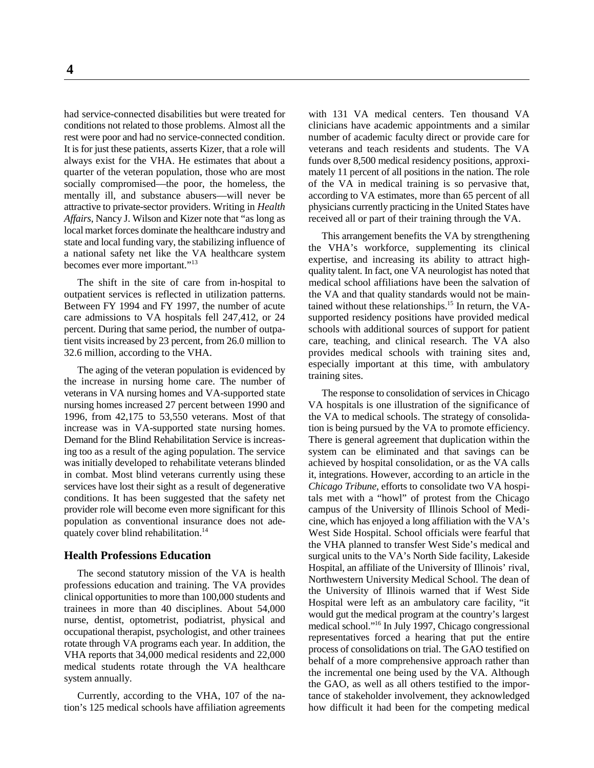had service-connected disabilities but were treated for with 131 VA medical centers. Ten thousand VA always exist for the VHA. He estimates that about a funds over 8,500 medical residency positions, approxi-*Affairs*, Nancy J. Wilson and Kizer note that "as long as local market forces dominate the healthcare industry and state and local funding vary, the stabilizing influence of a national safety net like the VA healthcare system becomes ever more important."13

outpatient services is reflected in utilization patterns. the VA and that quality standards would not be maincare admissions to VA hospitals fell 247,412, or 24 supported residency positions have provided medical percent. During that same period, the number of outpa- schools with additional sources of support for patient tient visits increased by 23 percent, from 26.0 million to care, teaching, and clinical research. The VA also 32.6 million, according to the VHA. provides medical schools with training sites and,

The aging of the veteran population is evidenced by the increase in nursing home care. The number of veterans in VA nursing homes and VA-supported state The response to consolidation of services in Chicago nursing homes increased 27 percent between 1990 and VA hospitals is one illustration of the significance of 1996, from 42,175 to 53,550 veterans. Most of that the VA to medical schools. The strategy of consolidaincrease was in VA-supported state nursing homes. tion is being pursued by the VA to promote efficiency. Demand for the Blind Rehabilitation Service is increas- There is general agreement that duplication within the ing too as a result of the aging population. The service system can be eliminated and that savings can be was initially developed to rehabilitate veterans blinded achieved by hospital consolidation, or as the VA calls in combat. Most blind veterans currently using these it, integrations. However, according to an article in the services have lost their sight as a result of degenerative *Chicago Tribune*, efforts to consolidate two VA hospiconditions. It has been suggested that the safety net tals met with a "howl" of protest from the Chicago provider role will become even more significant for this campus of the University of Illinois School of Medipopulation as conventional insurance does not ade- cine, which has enjoyed a long affiliation with the VA's quately cover blind rehabilitation.<sup>14</sup> West Side Hospital. School officials were fearful that  $\frac{1}{4}$ 

#### **Health Professions Education**

The second statutory mission of the VA is health professions education and training. The VA provides clinical opportunities to more than 100,000 students and trainees in more than 40 disciplines. About 54,000 nurse, dentist, optometrist, podiatrist, physical and occupational therapist, psychologist, and other trainees rotate through VA programs each year. In addition, the VHA reports that 34,000 medical residents and 22,000 medical students rotate through the VA healthcare system annually.

tion's 125 medical schools have affiliation agreements how difficult it had been for the competing medical

conditions not related to those problems. Almost all the clinicians have academic appointments and a similar rest were poor and had no service-connected condition. number of academic faculty direct or provide care for It is for just these patients, asserts Kizer, that a role will veterans and teach residents and students. The VA quarter of the veteran population, those who are most mately 11 percent of all positions in the nation. The role socially compromised—the poor, the homeless, the of the VA in medical training is so pervasive that, of the VA in medical training is so pervasive that, mentally ill, and substance abusers—will never be according to VA estimates, more than 65 percent of all attractive to private-sector providers. Writing in *Health* physicians currently practicing in the United States have *Affairs*, Nancy J. Wilson and Kizer note that "as long as received all or part of their training throug

The shift in the site of care from in-hospital to medical school affiliations have been the salvation of Between FY 1994 and FY 1997, the number of acute tained without these relationships.<sup>15</sup> In return, the VA-This arrangement benefits the VA by strengthening the VHA's workforce, supplementing its clinical expertise, and increasing its ability to attract highquality talent. In fact, one VA neurologist has noted that especially important at this time, with ambulatory training sites.

the VA to medical schools. The strategy of consolidait, integrations. However, according to an article in the the VHA planned to transfer West Side's medical and Currently, according to the VHA, 107 of the na- tance of stakeholder involvement, they acknowledged surgical units to the VA's North Side facility, Lakeside Hospital, an affiliate of the University of Illinois' rival, Northwestern University Medical School. The dean of the University of Illinois warned that if West Side Hospital were left as an ambulatory care facility, "it would gut the medical program at the country's largest medical school."<sup>16</sup> In July 1997, Chicago congressional representatives forced a hearing that put the entire process of consolidations on trial. The GAO testified on behalf of a more comprehensive approach rather than the incremental one being used by the VA. Although the GAO, as well as all others testified to the impor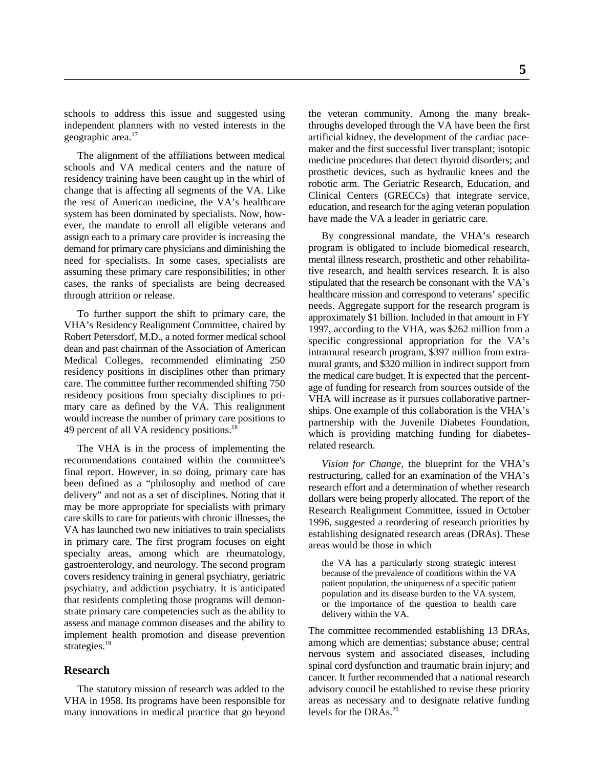schools to address this issue and suggested using the veteran community. Among the many breakindependent planners with no vested interests in the throughs developed through the VA have been the first geographic area.<sup>17</sup> artificial kidney, the development of the cardiac pace-

The alignment of the affiliations between medical schools and VA medical centers and the nature of residency training have been caught up in the whirl of change that is affecting all segments of the VA. Like the rest of American medicine, the VA's healthcare system has been dominated by specialists. Now, however, the mandate to enroll all eligible veterans and assign each to a primary care provider is increasing the demand for primary care physicians and diminishing the need for specialists. In some cases, specialists are assuming these primary care responsibilities; in other cases, the ranks of specialists are being decreased through attrition or release.

To further support the shift to primary care, the VHA's Residency Realignment Committee, chaired by Robert Petersdorf, M.D., a noted former medical school dean and past chairman of the Association of American Medical Colleges, recommended eliminating 250 residency positions in disciplines other than primary care. The committee further recommended shifting 750 residency positions from specialty disciplines to primary care as defined by the VA. This realignment would increase the number of primary care positions to 49 percent of all VA residency positions.<sup>18</sup>

The VHA is in the process of implementing the recommendations contained within the committee's final report. However, in so doing, primary care has been defined as a "philosophy and method of care delivery" and not as a set of disciplines. Noting that it may be more appropriate for specialists with primary care skills to care for patients with chronic illnesses, the VA has launched two new initiatives to train specialists in primary care. The first program focuses on eight specialty areas, among which are rheumatology, gastroenterology, and neurology. The second program covers residency training in general psychiatry, geriatric psychiatry, and addiction psychiatry. It is anticipated that residents completing those programs will demonstrate primary care competencies such as the ability to assess and manage common diseases and the ability to implement health promotion and disease prevention strategies.<sup>19</sup>

#### **Research**

The statutory mission of research was added to the VHA in 1958. Its programs have been responsible for many innovations in medical practice that go beyond

maker and the first successful liver transplant; isotopic medicine procedures that detect thyroid disorders; and prosthetic devices, such as hydraulic knees and the robotic arm. The Geriatric Research, Education, and Clinical Centers (GRECCs) that integrate service, education, and research for the aging veteran population have made the VA a leader in geriatric care.

By congressional mandate, the VHA's research program is obligated to include biomedical research, mental illness research, prosthetic and other rehabilitative research, and health services research. It is also stipulated that the research be consonant with the VA's healthcare mission and correspond to veterans' specific needs. Aggregate support for the research program is approximately \$1 billion. Included in that amount in FY 1997, according to the VHA, was \$262 million from a specific congressional appropriation for the VA's intramural research program, \$397 million from extramural grants, and \$320 million in indirect support from the medical care budget. It is expected that the percentage of funding for research from sources outside of the VHA will increase as it pursues collaborative partnerships. One example of this collaboration is the VHA's partnership with the Juvenile Diabetes Foundation, which is providing matching funding for diabetesrelated research.

*Vision for Change,* the blueprint for the VHA's restructuring, called for an examination of the VHA's research effort and a determination of whether research dollars were being properly allocated. The report of the Research Realignment Committee, issued in October 1996, suggested a reordering of research priorities by establishing designated research areas (DRAs). These areas would be those in which

the VA has a particularly strong strategic interest because of the prevalence of conditions within the VA patient population, the uniqueness of a specific patient population and its disease burden to the VA system, or the importance of the question to health care delivery within the VA.

The committee recommended establishing 13 DRAs, among which are dementias; substance abuse; central nervous system and associated diseases, including spinal cord dysfunction and traumatic brain injury; and cancer. It further recommended that a national research advisory council be established to revise these priority areas as necessary and to designate relative funding levels for the DRAs.<sup>20</sup>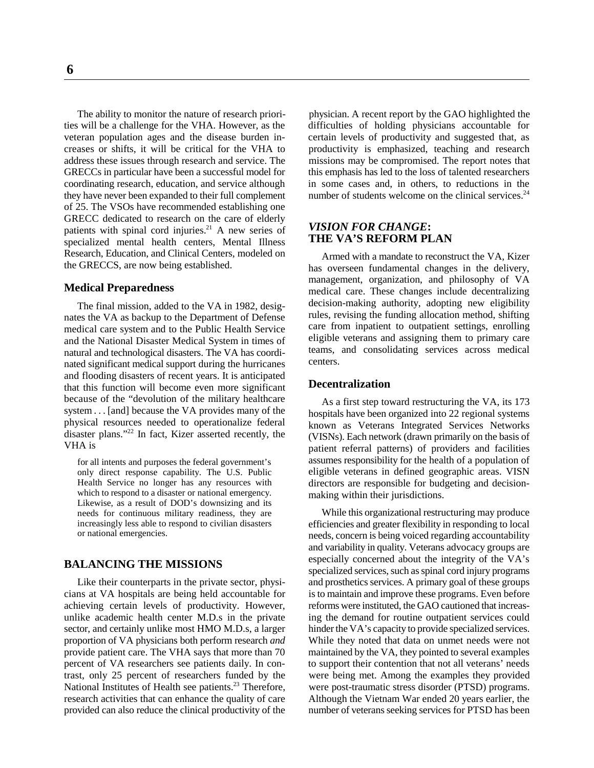**6**

The ability to monitor the nature of research priori-<br>physician. A recent report by the GAO highlighted the ties will be a challenge for the VHA. However, as the difficulties of holding physicians accountable for veteran population ages and the disease burden in- certain levels of productivity and suggested that, as creases or shifts, it will be critical for the VHA to productivity is emphasized, teaching and research address these issues through research and service. The missions may be compromised. The report notes that GRECCs in particular have been a successful model for this emphasis has led to the loss of talented researchers coordinating research, education, and service although in some cases and, in others, to reductions in the they have never been expanded to their full complement of 25. The VSOs have recommended establishing one GRECC dedicated to research on the care of elderly patients with spinal cord injuries. $^{21}$  A new series of specialized mental health centers, Mental Illness Research, Education, and Clinical Centers, modeled on the GRECCS, are now being established.

#### **Medical Preparedness**

The final mission, added to the VA in 1982, designates the VA as backup to the Department of Defense medical care system and to the Public Health Service and the National Disaster Medical System in times of natural and technological disasters. The VA has coordinated significant medical support during the hurricanes and flooding disasters of recent years. It is anticipated that this function will become even more significant because of the "devolution of the military healthcare system . . . [and] because the VA provides many of the physical resources needed to operationalize federal disaster plans."<sup> $22$ </sup> In fact, Kizer asserted recently, the VHA is

for all intents and purposes the federal government's only direct response capability. The U.S. Public Health Service no longer has any resources with which to respond to a disaster or national emergency. Likewise, as a result of DOD's downsizing and its needs for continuous military readiness, they are increasingly less able to respond to civilian disasters or national emergencies.

#### **BALANCING THE MISSIONS**

achieving certain levels of productivity. However, reforms were instituted, the GAO cautioned that increas-

number of students welcome on the clinical services.<sup>24</sup>

#### *VISION FOR CHANGE***: THE VA'S REFORM PLAN**

Armed with a mandate to reconstruct the VA, Kizer has overseen fundamental changes in the delivery, management, organization, and philosophy of VA medical care. These changes include decentralizing decision-making authority, adopting new eligibility rules, revising the funding allocation method, shifting care from inpatient to outpatient settings, enrolling eligible veterans and assigning them to primary care teams, and consolidating services across medical centers.

#### **Decentralization**

As a first step toward restructuring the VA, its 173 hospitals have been organized into 22 regional systems known as Veterans Integrated Services Networks (VISNs). Each network (drawn primarily on the basis of patient referral patterns) of providers and facilities assumes responsibility for the health of a population of eligible veterans in defined geographic areas. VISN directors are responsible for budgeting and decisionmaking within their jurisdictions.

Like their counterparts in the private sector, physi- and prosthetics services. A primary goal of these groups cians at VA hospitals are being held accountable for is to maintain and improve these programs. Even before unlike academic health center M.D.s in the private ing the demand for routine outpatient services could sector, and certainly unlike most HMO M.D.s, a larger hinder the VA's capacity to provide specialized services. proportion of VA physicians both perform research *and* While they noted that data on unmet needs were not provide patient care. The VHA says that more than 70 maintained by the VA, they pointed to several examples percent of VA researchers see patients daily. In con- to support their contention that not all veterans' needs trast, only 25 percent of researchers funded by the were being met. Among the examples they provided National Institutes of Health see patients.<sup>23</sup> Therefore, were post-traumatic stress disorder (PTSD) programs. research activities that can enhance the quality of care Although the Vietnam War ended 20 years earlier, the provided can also reduce the clinical productivity of the number of veterans seeking services for PTSD has been While this organizational restructuring may produce efficiencies and greater flexibility in responding to local needs, concern is being voiced regarding accountability and variability in quality. Veterans advocacy groups are especially concerned about the integrity of the VA's specialized services, such as spinal cord injury programs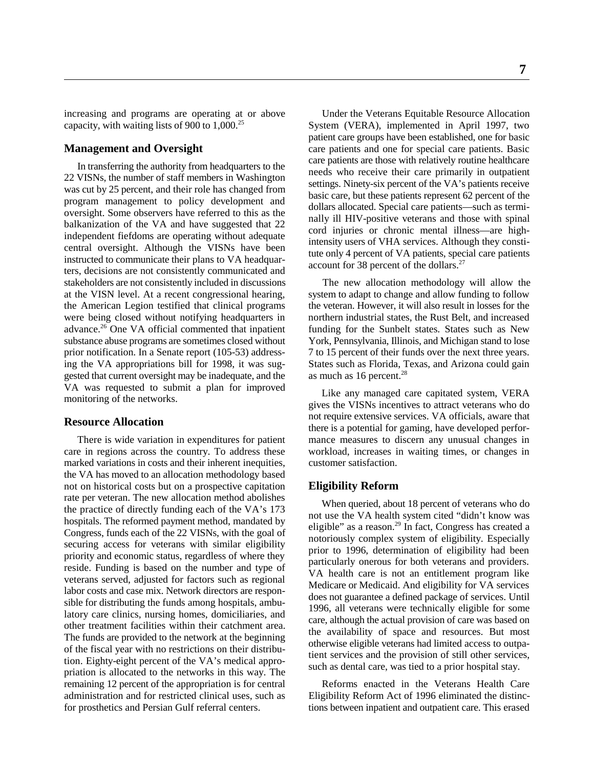increasing and programs are operating at or above Under the Veterans Equitable Resource Allocation capacity, with waiting lists of 900 to  $1,000^{25}$  System (VERA), implemented in April 1997, two

#### **Management and Oversight**

In transferring the authority from headquarters to the 22 VISNs, the number of staff members in Washington was cut by 25 percent, and their role has changed from program management to policy development and oversight. Some observers have referred to this as the balkanization of the VA and have suggested that 22 independent fiefdoms are operating without adequate central oversight. Although the VISNs have been instructed to communicate their plans to VA headquarters, decisions are not consistently communicated and stakeholders are not consistently included in discussions The new allocation methodology will allow the at the VISN level. At a recent congressional hearing, system to adapt to change and allow funding to follow the American Legion testified that clinical programs the veteran. However, it will also result in losses for the were being closed without notifying headquarters in northern industrial states, the Rust Belt, and increased advance.<sup>26</sup> One VA official commented that inpatient funding for the Sunbelt states. States such as New substance abuse programs are sometimes closed without York, Pennsylvania, Illinois, and Michigan stand to lose<br>prior notification. In a Senate report (105-53) address-<br>7 to 15 percent of their funds over the next three yea prior notification. In a Senate report (105-53) addressing the VA appropriations bill for 1998, it was sug- States such as Florida, Texas, and Arizona could gain gested that current oversight may be inadequate, and the VA was requested to submit a plan for improved monitoring of the networks.

#### **Resource Allocation**

marked variations in costs and their inherent inequities, customer satisfaction. the VA has moved to an allocation methodology based not on historical costs but on a prospective capitation rate per veteran. The new allocation method abolishes the practice of directly funding each of the VA's 173 hospitals. The reformed payment method, mandated by Congress, funds each of the 22 VISNs, with the goal of securing access for veterans with similar eligibility priority and economic status, regardless of where they reside. Funding is based on the number and type of veterans served, adjusted for factors such as regional labor costs and case mix. Network directors are responsible for distributing the funds among hospitals, ambulatory care clinics, nursing homes, domiciliaries, and other treatment facilities within their catchment area. The funds are provided to the network at the beginning of the fiscal year with no restrictions on their distribution. Eighty-eight percent of the VA's medical appropriation is allocated to the networks in this way. The remaining 12 percent of the appropriation is for central Reforms enacted in the Veterans Health Care

patient care groups have been established, one for basic care patients and one for special care patients. Basic care patients are those with relatively routine healthcare needs who receive their care primarily in outpatient settings. Ninety-six percent of the VA's patients receive basic care, but these patients represent 62 percent of the dollars allocated. Special care patients—such as terminally ill HIV-positive veterans and those with spinal cord injuries or chronic mental illness—are highintensity users of VHA services. Although they constitute only 4 percent of VA patients, special care patients account for 38 percent of the dollars.27

as much as  $16$  percent.<sup>28</sup>

There is wide variation in expenditures for patient mance measures to discern any unusual changes in care in regions across the country. To address these workload, increases in waiting times, or changes in Like any managed care capitated system, VERA gives the VISNs incentives to attract veterans who do not require extensive services. VA officials, aware that there is a potential for gaming, have developed perfor-

#### **Eligibility Reform**

When queried, about 18 percent of veterans who do not use the VA health system cited "didn't know was eligible" as a reason.<sup>29</sup> In fact, Congress has created a notoriously complex system of eligibility. Especially prior to 1996, determination of eligibility had been particularly onerous for both veterans and providers. VA health care is not an entitlement program like Medicare or Medicaid. And eligibility for VA services does not guarantee a defined package of services. Until 1996, all veterans were technically eligible for some care, although the actual provision of care was based on the availability of space and resources. But most otherwise eligible veterans had limited access to outpatient services and the provision of still other services, such as dental care, was tied to a prior hospital stay.

administration and for restricted clinical uses, such as Eligibility Reform Act of 1996 eliminated the distincfor prosthetics and Persian Gulf referral centers. tions between inpatient and outpatient care. This erased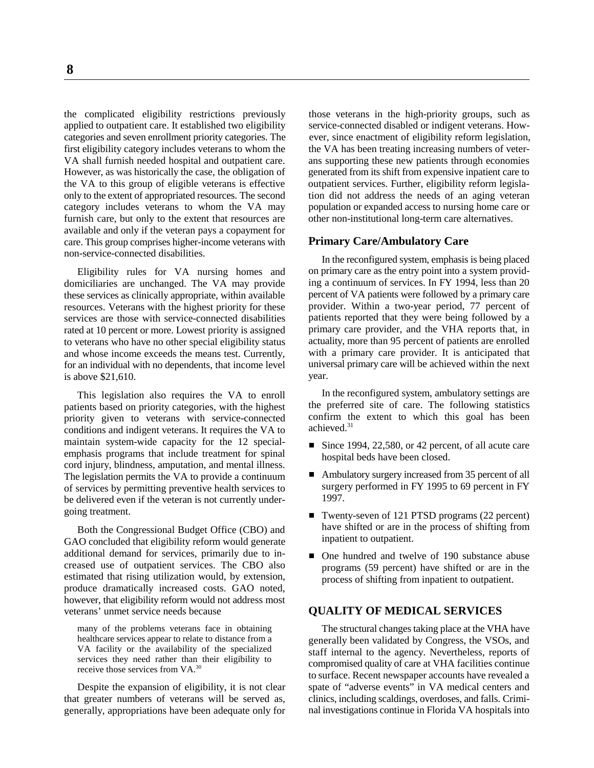the complicated eligibility restrictions previously those veterans in the high-priority groups, such as applied to outpatient care. It established two eligibility service-connected disabled or indigent veterans. Howcategories and seven enrollment priority categories. The ever, since enactment of eligibility reform legislation, first eligibility category includes veterans to whom the the VA has been treating increasing numbers of veter-VA shall furnish needed hospital and outpatient care. ans supporting these new patients through economies However, as was historically the case, the obligation of generated from its shift from expensive inpatient care to the VA to this group of eligible veterans is effective outpatient services. Further, eligibility reform legislaonly to the extent of appropriated resources. The second tion did not address the needs of an aging veteran category includes veterans to whom the VA may population or expanded access to nursing home care or furnish care, but only to the extent that resources are other non-institutional long-term care alternatives. available and only if the veteran pays a copayment for care. This group comprises higher-income veterans with non-service-connected disabilities.

domiciliaries are unchanged. The VA may provide these services as clinically appropriate, within available resources. Veterans with the highest priority for these services are those with service-connected disabilities rated at 10 percent or more. Lowest priority is assigned to veterans who have no other special eligibility status and whose income exceeds the means test. Currently, for an individual with no dependents, that income level is above \$21,610.

This legislation also requires the VA to enroll patients based on priority categories, with the highest priority given to veterans with service-connected conditions and indigent veterans. It requires the VA to maintain system-wide capacity for the 12 specialemphasis programs that include treatment for spinal cord injury, blindness, amputation, and mental illness. The legislation permits the VA to provide a continuum of services by permitting preventive health services to be delivered even if the veteran is not currently undergoing treatment.

Both the Congressional Budget Office (CBO) and GAO concluded that eligibility reform would generate additional demand for services, primarily due to increased use of outpatient services. The CBO also estimated that rising utilization would, by extension, produce dramatically increased costs. GAO noted, however, that eligibility reform would not address most veterans' unmet service needs because

many of the problems veterans face in obtaining healthcare services appear to relate to distance from a VA facility or the availability of the specialized services they need rather than their eligibility to receive those services from VA.30

Despite the expansion of eligibility, it is not clear that greater numbers of veterans will be served as, generally, appropriations have been adequate only for

#### **Primary Care/Ambulatory Care**

Eligibility rules for VA nursing homes and on primary care as the entry point into a system provid-In the reconfigured system, emphasis is being placed ing a continuum of services. In FY 1994, less than 20 percent of VA patients were followed by a primary care provider. Within a two-year period, 77 percent of patients reported that they were being followed by a primary care provider, and the VHA reports that, in actuality, more than 95 percent of patients are enrolled with a primary care provider. It is anticipated that universal primary care will be achieved within the next year.

> In the reconfigured system, ambulatory settings are the preferred site of care. The following statistics confirm the extent to which this goal has been achieved.<sup>31</sup>

- Since 1994, 22,580, or 42 percent, of all acute care hospital beds have been closed.
- Ambulatory surgery increased from 35 percent of all surgery performed in FY 1995 to 69 percent in FY 1997.
- Twenty-seven of 121 PTSD programs (22 percent) have shifted or are in the process of shifting from inpatient to outpatient.
- One hundred and twelve of 190 substance abuse programs (59 percent) have shifted or are in the process of shifting from inpatient to outpatient.

### **QUALITY OF MEDICAL SERVICES**

The structural changes taking place at the VHA have generally been validated by Congress, the VSOs, and staff internal to the agency. Nevertheless, reports of compromised quality of care at VHA facilities continue to surface. Recent newspaper accounts have revealed a spate of "adverse events" in VA medical centers and clinics, including scaldings, overdoses, and falls. Criminal investigations continue in Florida VA hospitals into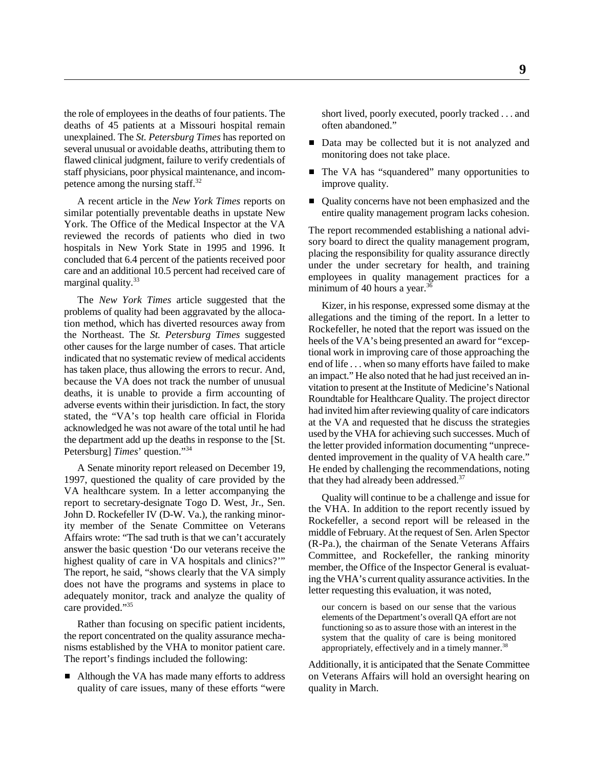the role of employees in the deaths of four patients. The short lived, poorly executed, poorly tracked . . . and deaths of 45 patients at a Missouri hospital remain often abandoned." unexplained. The *St. Petersburg Times* has reported on several unusual or avoidable deaths, attributing them to flawed clinical judgment, failure to verify credentials of staff physicians, poor physical maintenance, and incom-  $\blacksquare$  The VA has "squandered" many opportunities to petence among the nursing staff. $^{32}$  improve quality.

similar potentially preventable deaths in upstate New entire quality management program lacks cohesion. York. The Office of the Medical Inspector at the VA reviewed the records of patients who died in two hospitals in New York State in 1995 and 1996. It concluded that 6.4 percent of the patients received poor care and an additional 10.5 percent had received care of marginal quality.<sup>33</sup>

The *New York Times* article suggested that the problems of quality had been aggravated by the allocation method, which has diverted resources away from the Northeast. The *St. Petersburg Times* suggested other causes for the large number of cases. That article indicated that no systematic review of medical accidents has taken place, thus allowing the errors to recur. And, because the VA does not track the number of unusual deaths, it is unable to provide a firm accounting of adverse events within their jurisdiction. In fact, the story stated, the "VA's top health care official in Florida acknowledged he was not aware of the total until he had the department add up the deaths in response to the [St. Petersburg] *Times*' question."34

1997, questioned the quality of care provided by the VA healthcare system. In a letter accompanying the report to secretary-designate Togo D. West, Jr., Sen. John D. Rockefeller IV (D-W. Va.), the ranking minority member of the Senate Committee on Veterans Affairs wrote: "The sad truth is that we can't accurately answer the basic question 'Do our veterans receive the highest quality of care in VA hospitals and clinics?" The report, he said, "shows clearly that the VA simply does not have the programs and systems in place to adequately monitor, track and analyze the quality of care provided."35

Rather than focusing on specific patient incidents, the report concentrated on the quality assurance mechanisms established by the VHA to monitor patient care. The report's findings included the following:

■ Although the VA has made many efforts to address quality of care issues, many of these efforts "were

- Data may be collected but it is not analyzed and monitoring does not take place.
- 
- A recent article in the *New York Times* reports on **C**uality concerns have not been emphasized and the

The report recommended establishing a national advisory board to direct the quality management program, placing the responsibility for quality assurance directly under the under secretary for health, and training employees in quality management practices for a minimum of 40 hours a year.<sup>36</sup>

A Senate minority report released on December 19, He ended by challenging the recommendations, noting Kizer, in his response, expressed some dismay at the allegations and the timing of the report. In a letter to Rockefeller, he noted that the report was issued on the heels of the VA's being presented an award for "exceptional work in improving care of those approaching the end of life . . . when so many efforts have failed to make an impact." He also noted that he had just received an invitation to present at the Institute of Medicine's National Roundtable for Healthcare Quality. The project director had invited him after reviewing quality of care indicators at the VA and requested that he discuss the strategies used by the VHA for achieving such successes. Much of the letter provided information documenting "unprecedented improvement in the quality of VA health care." that they had already been addressed.<sup>37</sup>

> Quality will continue to be a challenge and issue for the VHA. In addition to the report recently issued by Rockefeller, a second report will be released in the middle of February. At the request of Sen. Arlen Spector (R-Pa.), the chairman of the Senate Veterans Affairs Committee, and Rockefeller, the ranking minority member, the Office of the Inspector General is evaluating the VHA's current quality assurance activities. In the letter requesting this evaluation, it was noted,

our concern is based on our sense that the various elements of the Department's overall QA effort are not functioning so as to assure those with an interest in the system that the quality of care is being monitored appropriately, effectively and in a timely manner.<sup>38</sup>

Additionally, it is anticipated that the Senate Committee on Veterans Affairs will hold an oversight hearing on quality in March.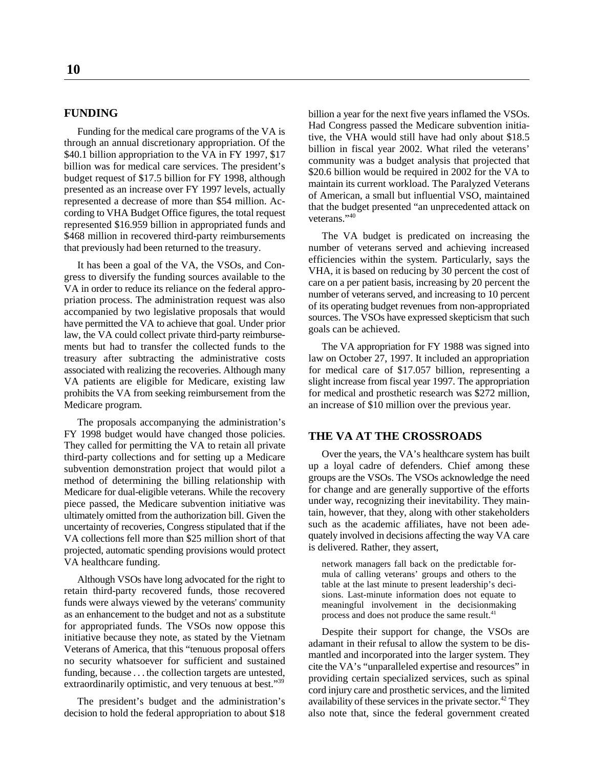Funding for the medical care programs of the VA is through an annual discretionary appropriation. Of the \$40.1 billion appropriation to the VA in FY 1997, \$17 billion was for medical care services. The president's budget request of \$17.5 billion for FY 1998, although presented as an increase over FY 1997 levels, actually represented a decrease of more than \$54 million. According to VHA Budget Office figures, the total request represented \$16.959 billion in appropriated funds and \$468 million in recovered third-party reimbursements The VA budget is predicated on increasing the that previously had been returned to the treasury. number of veterans served and achieving increased

It has been a goal of the VA, the VSOs, and Congress to diversify the funding sources available to the VA in order to reduce its reliance on the federal appropriation process. The administration request was also accompanied by two legislative proposals that would have permitted the VA to achieve that goal. Under prior law, the VA could collect private third-party reimburse-<br>ments but had to transfer the collected funds to the treasury after subtracting the administrative costs law on October 27, 1997. It included an appropriation associated with realizing the recoveries. Although many for medical care of \$17.057 billion, representing a VA patients are eligible for Medicare, existing law slight increase from fiscal year 1997. The appropriation prohibits the VA from seeking reimbursement from the for medical and prosthetic research was \$272 million, Medicare program. and increase of \$10 million over the previous year.

The proposals accompanying the administration's FY 1998 budget would have changed those policies. They called for permitting the VA to retain all private third-party collections and for setting up a Medicare subvention demonstration project that would pilot a method of determining the billing relationship with Medicare for dual-eligible veterans. While the recovery piece passed, the Medicare subvention initiative was ultimately omitted from the authorization bill. Given the uncertainty of recoveries, Congress stipulated that if the VA collections fell more than \$25 million short of that projected, automatic spending provisions would protect VA healthcare funding.

Although VSOs have long advocated for the right to retain third-party recovered funds, those recovered funds were always viewed by the veterans' community as an enhancement to the budget and not as a substitute for appropriated funds. The VSOs now oppose this initiative because they note, as stated by the Vietnam Veterans of America, that this "tenuous proposal offers no security whatsoever for sufficient and sustained funding, because . . . the collection targets are untested, extraordinarily optimistic, and very tenuous at best."<sup>39</sup>

**FUNDING** billion a year for the next five years inflamed the VSOs. Had Congress passed the Medicare subvention initiative, the VHA would still have had only about \$18.5 billion in fiscal year 2002. What riled the veterans' community was a budget analysis that projected that \$20.6 billion would be required in 2002 for the VA to maintain its current workload. The Paralyzed Veterans of American, a small but influential VSO, maintained that the budget presented "an unprecedented attack on veterans."40

> efficiencies within the system. Particularly, says the VHA, it is based on reducing by 30 percent the cost of care on a per patient basis, increasing by 20 percent the number of veterans served, and increasing to 10 percent of its operating budget revenues from non-appropriated sources. The VSOs have expressed skepticism that such goals can be achieved.

> The VA appropriation for FY 1988 was signed into

#### **THE VA AT THE CROSSROADS**

Over the years, the VA's healthcare system has built up a loyal cadre of defenders. Chief among these groups are the VSOs. The VSOs acknowledge the need for change and are generally supportive of the efforts under way, recognizing their inevitability. They maintain, however, that they, along with other stakeholders such as the academic affiliates, have not been adequately involved in decisions affecting the way VA care is delivered. Rather, they assert,

network managers fall back on the predictable formula of calling veterans' groups and others to the table at the last minute to present leadership's decisions. Last-minute information does not equate to meaningful involvement in the decisionmaking process and does not produce the same result.<sup>41</sup>

The president's budget and the administration's availability of these services in the private sector.<sup>42</sup> They decision to hold the federal appropriation to about \$18 also note that, since the federal government created Despite their support for change, the VSOs are adamant in their refusal to allow the system to be dismantled and incorporated into the larger system. They cite the VA's "unparalleled expertise and resources" in providing certain specialized services, such as spinal cord injury care and prosthetic services, and the limited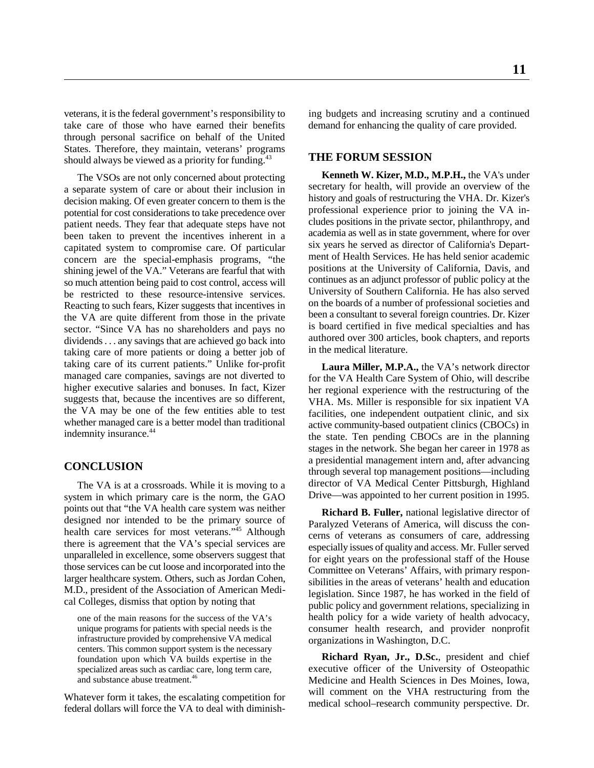veterans, it is the federal government's responsibility to ing budgets and increasing scrutiny and a continued take care of those who have earned their benefits demand for enhancing the quality of care provided. through personal sacrifice on behalf of the United States. Therefore, they maintain, veterans' programs should always be viewed as a priority for funding.<sup>43</sup>

The VSOs are not only concerned about protecting a separate system of care or about their inclusion in decision making. Of even greater concern to them is the potential for cost considerations to take precedence over patient needs. They fear that adequate steps have not been taken to prevent the incentives inherent in a capitated system to compromise care. Of particular concern are the special-emphasis programs, "the shining jewel of the VA." Veterans are fearful that with so much attention being paid to cost control, access will be restricted to these resource-intensive services. Reacting to such fears, Kizer suggests that incentives in the VA are quite different from those in the private sector. "Since VA has no shareholders and pays no dividends . . . any savings that are achieved go back into taking care of more patients or doing a better job of taking care of its current patients." Unlike for-profit managed care companies, savings are not diverted to higher executive salaries and bonuses. In fact, Kizer suggests that, because the incentives are so different, the VA may be one of the few entities able to test whether managed care is a better model than traditional indemnity insurance.<sup>44</sup>

### **CONCLUSION**

The VA is at a crossroads. While it is moving to a system in which primary care is the norm, the GAO points out that "the VA health care system was neither designed nor intended to be the primary source of health care services for most veterans."<sup>45</sup> Although there is agreement that the VA's special services are unparalleled in excellence, some observers suggest that those services can be cut loose and incorporated into the larger healthcare system. Others, such as Jordan Cohen, M.D., president of the Association of American Medical Colleges, dismiss that option by noting that

one of the main reasons for the success of the VA's unique programs for patients with special needs is the infrastructure provided by comprehensive VA medical centers. This common support system is the necessary foundation upon which VA builds expertise in the specialized areas such as cardiac care, long term care, and substance abuse treatment.<sup>46</sup>

Whatever form it takes, the escalating competition for federal dollars will force the VA to deal with diminish-

#### **THE FORUM SESSION**

**Kenneth W. Kizer, M.D., M.P.H.,** the VA's under secretary for health, will provide an overview of the history and goals of restructuring the VHA. Dr. Kizer's professional experience prior to joining the VA includes positions in the private sector, philanthropy, and academia as well as in state government, where for over six years he served as director of California's Department of Health Services. He has held senior academic positions at the University of California, Davis, and continues as an adjunct professor of public policy at the University of Southern California. He has also served on the boards of a number of professional societies and been a consultant to several foreign countries. Dr. Kizer is board certified in five medical specialties and has authored over 300 articles, book chapters, and reports in the medical literature.

**Laura Miller, M.P.A.,** the VA's network director for the VA Health Care System of Ohio, will describe her regional experience with the restructuring of the VHA. Ms. Miller is responsible for six inpatient VA facilities, one independent outpatient clinic, and six active community-based outpatient clinics (CBOCs) in the state. Ten pending CBOCs are in the planning stages in the network. She began her career in 1978 as a presidential management intern and, after advancing through several top management positions—including director of VA Medical Center Pittsburgh, Highland Drive—was appointed to her current position in 1995.

**Richard B. Fuller,** national legislative director of Paralyzed Veterans of America, will discuss the concerns of veterans as consumers of care, addressing especially issues of quality and access. Mr. Fuller served for eight years on the professional staff of the House Committee on Veterans' Affairs, with primary responsibilities in the areas of veterans' health and education legislation. Since 1987, he has worked in the field of public policy and government relations, specializing in health policy for a wide variety of health advocacy, consumer health research, and provider nonprofit organizations in Washington, D.C.

**Richard Ryan, Jr., D.Sc.**, president and chief executive officer of the University of Osteopathic Medicine and Health Sciences in Des Moines, Iowa, will comment on the VHA restructuring from the medical school–research community perspective. Dr.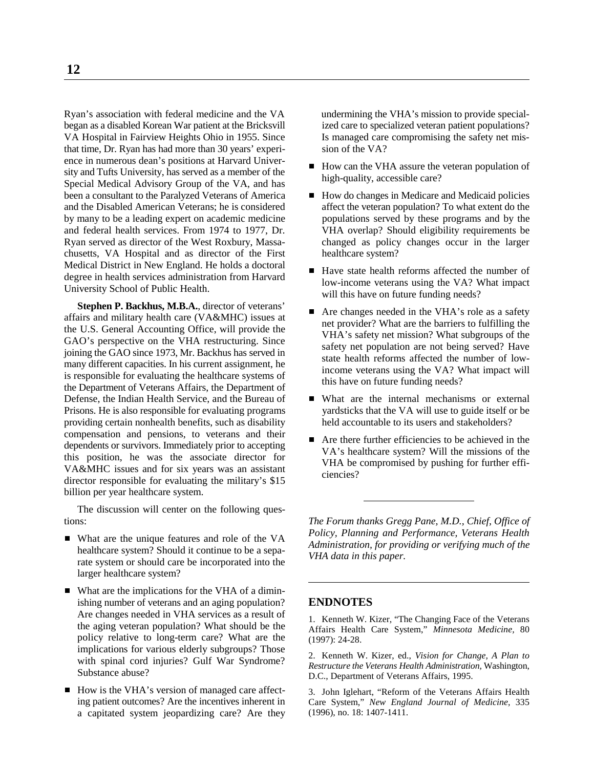Ryan's association with federal medicine and the VA undermining the VHA's mission to provide specialbegan as a disabled Korean War patient at the Bricksvill ized care to specialized veteran patient populations? VA Hospital in Fairview Heights Ohio in 1955. Since Is managed care compromising the safety net misthat time, Dr. Ryan has had more than 30 years' experi- sion of the VA? ence in numerous dean's positions at Harvard University and Tufts University, has served as a member of the Special Medical Advisory Group of the VA, and has been a consultant to the Paralyzed Veterans of America  $\blacksquare$  How do changes in Medicare and Medicaid policies and the Disabled American Veterans; he is considered affect the veteran population? To what extent do the by many to be a leading expert on academic medicine populations served by these programs and by the and federal health services. From 1974 to 1977, Dr. VHA overlap? Should eligibility requirements be and federal health services. From 1974 to 1977, Dr.<br>
WHA overlap? Should eligibility requirements be<br>
Ryan served as director of the West Roxbury, Massa-<br>
changed as policy changes occur in the larger Ryan served as director of the West Roxbury, Massachusetts, VA Hospital and as director of the First healthcare system? Medical District in New England. He holds a doctoral degree in health services administration from Harvard University School of Public Health.

**Stephen P. Backhus, M.B.A.**, director of veterans' affairs and military health care (VA&MHC) issues at the U.S. General Accounting Office, will provide the GAO's perspective on the VHA restructuring. Since joining the GAO since 1973, Mr. Backhus has served in many different capacities. In his current assignment, he is responsible for evaluating the healthcare systems of the Department of Veterans Affairs, the Department of Defense, the Indian Health Service, and the Bureau of What are the internal mechanisms or external Prisons. He is also responsible for evaluating programs variations was variable with the VA will use to guide itself or be Prisons. He is also responsible for evaluating programs yardsticks that the VA will use to guide itself or be providing certain nonhealth benefits, such as disability held accountable to its users and stakeholders? providing certain nonhealth benefits, such as disability compensation and pensions, to veterans and their dependents or survivors. Immediately prior to accepting this position, he was the associate director for VA&MHC issues and for six years was an assistant director responsible for evaluating the military's \$15 billion per year healthcare system.

The discussion will center on the following questions: *The Forum thanks Gregg Pane, M.D., Chief, Office of*

- What are the unique features and role of the VA healthcare system? Should it continue to be a separate system or should care be incorporated into the larger healthcare system?
- What are the implications for the VHA of a diminishing number of veterans and an aging population? **ENDNOTES** Are changes needed in VHA services as a result of the aging veteran population? What should be the policy relative to long-term care? What are the implications for various elderly subgroups? Those with spinal cord injuries? Gulf War Syndrome? Substance abuse?
- How is the VHA's version of managed care affecting patient outcomes? Are the incentives inherent in a capitated system jeopardizing care? Are they

- How can the VHA assure the veteran population of high-quality, accessible care?
- 
- Have state health reforms affected the number of low-income veterans using the VA? What impact will this have on future funding needs?
- Are changes needed in the VHA's role as a safety net provider? What are the barriers to fulfilling the VHA's safety net mission? What subgroups of the safety net population are not being served? Have state health reforms affected the number of lowincome veterans using the VA? What impact will this have on future funding needs?
- 
- Are there further efficiencies to be achieved in the VA's healthcare system? Will the missions of the VHA be compromised by pushing for further efficiencies?

*Policy, Planning and Performance, Veterans Health Administration, for providing or verifying much of the VHA data in this paper.*

1. Kenneth W. Kizer, "The Changing Face of the Veterans Affairs Health Care System," *Minnesota Medicine,* 80 (1997): 24-28.

2. Kenneth W. Kizer, ed., *Vision for Change, A Plan to Restructure the Veterans Health Administration,* Washington, D.C., Department of Veterans Affairs, 1995.

3. John Iglehart, "Reform of the Veterans Affairs Health Care System," *New England Journal of Medicine,* 335 (1996), no. 18: 1407-1411.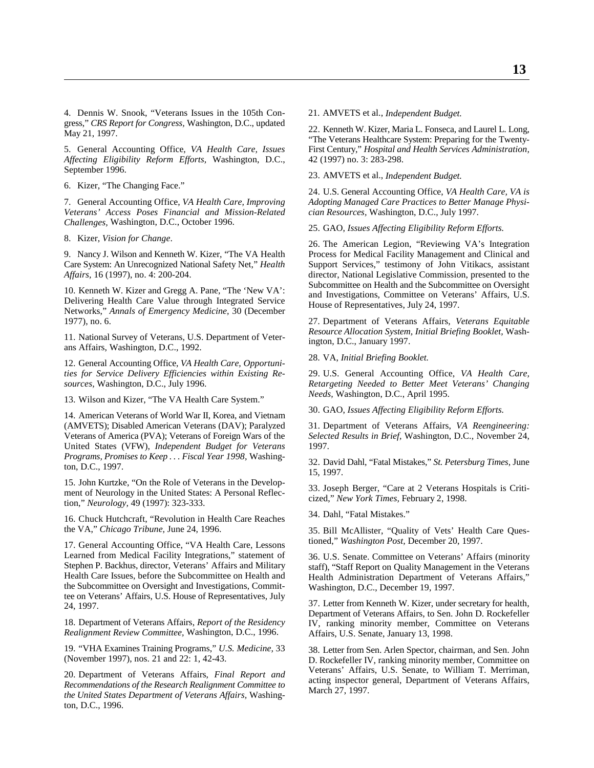4. Dennis W. Snook, "Veterans Issues in the 105th Con- 21. AMVETS et al., *Independent Budget.* gress," *CRS Report for Congress,* Washington, D.C., updated May 21, 1997.

*Affecting Eligibility Reform Efforts, Washington, D.C.,* September 1996.

6. Kizer, "The Changing Face."

*Veterans' Access Poses Financial and Mission-Related cian Resources,* Washington, D.C., July 1997. *Challenges,* Washington, D.C., October 1996.

8. Kizer, *Vision for Change*.

Care System: An Unrecognized National Safety Net," *Health* Support Services," testimony of John Vitikacs, assistant *Affairs,* 16 (1997), no. 4: 200-204. director, National Legislative Commission, presented to the

10. Kenneth W. Kizer and Gregg A. Pane, "The 'New VA': Delivering Health Care Value through Integrated Service Networks," *Annals of Emergency Medicine,* 30 (December 1977), no. 6. 27. Department of Veterans Affairs, *Veterans Equitable*

11. National Survey of Veterans, U.S. Department of Veterans Affairs, Washington, D.C., 1992.

12. General Accounting Office, *VA Health Care, Opportunities for Service Delivery Efficiencies within Existing Re-* 29. U.S. General Accounting Office, *VA Health Care,*

13. Wilson and Kizer, "The VA Health Care System."

14. American Veterans of World War II, Korea, and Vietnam (AMVETS); Disabled American Veterans (DAV); Paralyzed 31. Department of Veterans Affairs, *VA Reengineering:* United States (VFW), *Independent Budget for Veterans* 1997. *Programs, Promises to Keep . . . Fiscal Year 1998,* Washington, D.C., 1997.

15. John Kurtzke, "On the Role of Veterans in the Development of Neurology in the United States: A Personal Reflection," *Neurology,* 49 (1997): 323-333.

16. Chuck Hutchcraft, "Revolution in Health Care Reaches the VA," *Chicago Tribune,* June 24, 1996.

17. General Accounting Office, "VA Health Care, Lessons Learned from Medical Facility Integrations," statement of Stephen P. Backhus, director, Veterans' Affairs and Military Health Care Issues, before the Subcommittee on Health and the Subcommittee on Oversight and Investigations, Committee on Veterans' Affairs, U.S. House of Representatives, July 24, 1997.

18. Department of Veterans Affairs, *Report of the Residency Realignment Review Committee,* Washington, D.C., 1996.

19. "VHA Examines Training Programs," *U.S. Medicine,* 33 (November 1997), nos. 21 and 22: 1, 42-43.

20. Department of Veterans Affairs, *Final Report and Recommendations of the Research Realignment Committee to the United States Department of Veterans Affairs,* Washington, D.C., 1996.

5. General Accounting Office, *VA Health Care, Issues* First Century," *Hospital and Health Services Administration,* 22. Kenneth W. Kizer, Maria L. Fonseca, and Laurel L. Long, "The Veterans Healthcare System: Preparing for the Twenty-

23. AMVETS et al., *Independent Budget.*

7. General Accounting Office, *VA Health Care, Improving Adopting Managed Care Practices to Better Manage Physi-*24. U.S. General Accounting Office, *VA Health Care, VA is*

25. GAO, *Issues Affecting Eligibility Reform Efforts.*

9. Nancy J. Wilson and Kenneth W. Kizer, "The VA Health Process for Medical Facility Management and Clinical and 26. The American Legion, "Reviewing VA's Integration Subcommittee on Health and the Subcommittee on Oversight and Investigations, Committee on Veterans' Affairs, U.S. House of Representatives, July 24, 1997.

> *Resource Allocation System, Initial Briefing Booklet,* Washington, D.C., January 1997.

28. VA, *Initial Briefing Booklet.*

**Retargeting Needed to Better Meet Veterans' Changing** *Needs,* Washington, D.C., April 1995.

30. GAO, *Issues Affecting Eligibility Reform Efforts.*

Selected Results in Brief, Washington, D.C., November 24,

32. David Dahl, "Fatal Mistakes," *St. Petersburg Times,* June 15, 1997.

33. Joseph Berger, "Care at 2 Veterans Hospitals is Criticized," *New York Times,* February 2, 1998.

34. Dahl, "Fatal Mistakes."

35. Bill McAllister, "Quality of Vets' Health Care Questioned," *Washington Post,* December 20, 1997.

36. U.S. Senate. Committee on Veterans' Affairs (minority staff), "Staff Report on Quality Management in the Veterans Health Administration Department of Veterans Affairs," Washington, D.C., December 19, 1997.

37. Letter from Kenneth W. Kizer, under secretary for health, Department of Veterans Affairs, to Sen. John D. Rockefeller IV, ranking minority member, Committee on Veterans Affairs, U.S. Senate, January 13, 1998.

38. Letter from Sen. Arlen Spector, chairman, and Sen. John D. Rockefeller IV, ranking minority member, Committee on Veterans' Affairs, U.S. Senate, to William T. Merriman, acting inspector general, Department of Veterans Affairs, March 27, 1997.